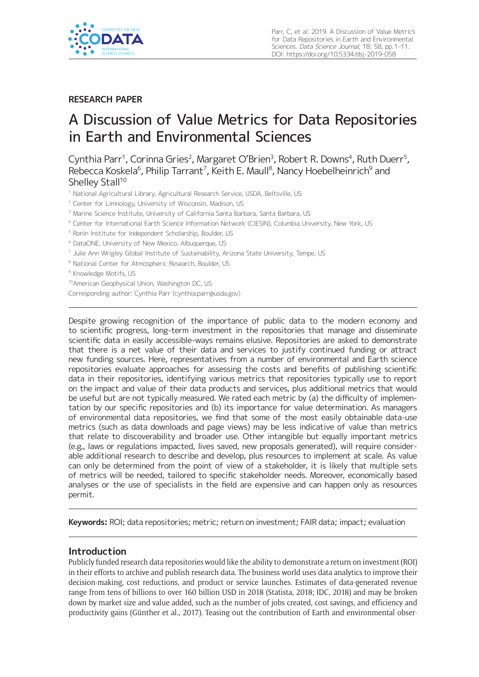

# **RESEARCH PAPER**

# A Discussion of Value Metrics for Data Repositories in Earth and Environmental Sciences

Cynthia Parr<sup>1</sup>, Corinna Gries<sup>2</sup>, Margaret O'Brien<sup>3</sup>, Robert R. Downs<sup>4</sup>, Ruth Duerr<sup>5</sup>, Rebecca Koskela $^6$ , Philip Tarrant<sup>7</sup>, Keith E. Maull $^8$ , Nancy Hoebelheinrich $^9$  and Shelley Stall<sup>10</sup>

- <sup>1</sup> National Agricultural Library, Agricultural Research Service, USDA, Beltsville, US
- <sup>2</sup> Center for Limnology, University of Wisconsin, Madison, US
- <sup>3</sup> Marine Science Institute, University of California Santa Barbara, Santa Barbara, US
- <sup>4</sup> Center for International Earth Science Information Network (CIESIN), Columbia University, New York, US
- <sup>5</sup> Ronin Institute for Independent Scholarship, Boulder, US
- <sup>6</sup> DataONE, University of New Mexico, Albuquerque, US
- <sup>7</sup> Julie Ann Wrigley Global Institute of Sustainability, Arizona State University, Tempe, US
- <sup>8</sup> National Center for Atmospheric Research, Boulder, US

<sup>9</sup> Knowledge Motifs, US

10American Geophysical Union, Washington DC, US

Corresponding author: Cynthia Parr (cynthia.parr@usda.gov)

Despite growing recognition of the importance of public data to the modern economy and to scientific progress, long-term investment in the repositories that manage and disseminate scientific data in easily accessible-ways remains elusive. Repositories are asked to demonstrate that there is a net value of their data and services to justify continued funding or attract new funding sources. Here, representatives from a number of environmental and Earth science repositories evaluate approaches for assessing the costs and benefits of publishing scientific data in their repositories, identifying various metrics that repositories typically use to report on the impact and value of their data products and services, plus additional metrics that would be useful but are not typically measured. We rated each metric by (a) the difficulty of implementation by our specific repositories and (b) its importance for value determination. As managers of environmental data repositories, we find that some of the most easily obtainable data-use metrics (such as data downloads and page views) may be less indicative of value than metrics that relate to discoverability and broader use. Other intangible but equally important metrics (e.g., laws or regulations impacted, lives saved, new proposals generated), will require considerable additional research to describe and develop, plus resources to implement at scale. As value can only be determined from the point of view of a stakeholder, it is likely that multiple sets of metrics will be needed, tailored to specific stakeholder needs. Moreover, economically based analyses or the use of specialists in the field are expensive and can happen only as resources permit.

**Keywords:** ROI; data repositories; metric; return on investment; FAIR data; impact; evaluation

## **Introduction**

Publicly funded research data repositories would like the ability to demonstrate a return on investment (ROI) in their efforts to archive and publish research data. The business world uses data analytics to improve their decision-making, cost reductions, and product or service launches. Estimates of data-generated revenue range from tens of billions to over 160 billion USD in 2018 (Statista, 2018; IDC, 2018) and may be broken down by market size and value added, such as the number of jobs created, cost savings, and efficiency and productivity gains (Günther et al., 2017). Teasing out the contribution of Earth and environmental obser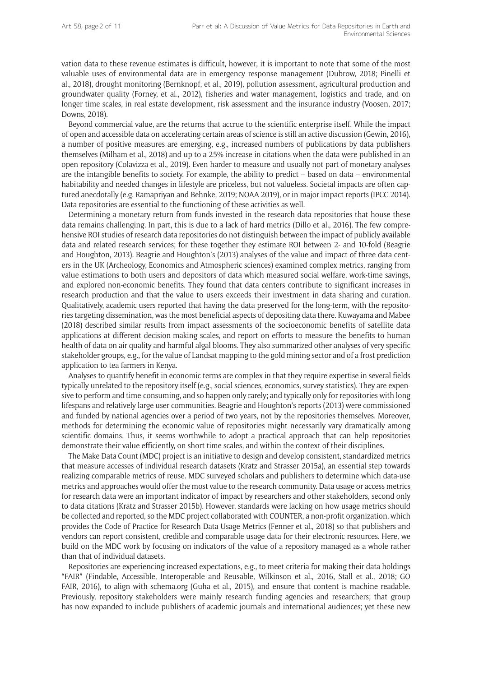vation data to these revenue estimates is difficult, however, it is important to note that some of the most valuable uses of environmental data are in emergency response management (Dubrow, 2018; Pinelli et al., 2018), drought monitoring (Bernknopf, et al., 2019), pollution assessment, agricultural production and groundwater quality (Forney, et al., 2012), fisheries and water management, logistics and trade, and on longer time scales, in real estate development, risk assessment and the insurance industry (Voosen, 2017; Downs, 2018).

Beyond commercial value, are the returns that accrue to the scientific enterprise itself. While the impact of open and accessible data on accelerating certain areas of science is still an active discussion (Gewin, 2016), a number of positive measures are emerging, e.g., increased numbers of publications by data publishers themselves (Milham et al., 2018) and up to a 25% increase in citations when the data were published in an open repository (Colavizza et al., 2019). Even harder to measure and usually not part of monetary analyses are the intangible benefits to society. For example, the ability to predict – based on data – environmental habitability and needed changes in lifestyle are priceless, but not valueless. Societal impacts are often captured anecdotally (e.g. Ramapriyan and Behnke, 2019; NOAA 2019), or in major impact reports (IPCC 2014). Data repositories are essential to the functioning of these activities as well.

Determining a monetary return from funds invested in the research data repositories that house these data remains challenging. In part, this is due to a lack of hard metrics (Dillo et al., 2016). The few comprehensive ROI studies of research data repositories do not distinguish between the impact of publicly available data and related research services; for these together they estimate ROI between 2- and 10-fold (Beagrie and Houghton, 2013). Beagrie and Houghton's (2013) analyses of the value and impact of three data centers in the UK (Archeology, Economics and Atmospheric sciences) examined complex metrics, ranging from value estimations to both users and depositors of data which measured social welfare, work-time savings, and explored non-economic benefits. They found that data centers contribute to significant increases in research production and that the value to users exceeds their investment in data sharing and curation. Qualitatively, academic users reported that having the data preserved for the long-term, with the repositories targeting dissemination, was the most beneficial aspects of depositing data there. Kuwayama and Mabee (2018) described similar results from impact assessments of the socioeconomic benefits of satellite data applications at different decision-making scales, and report on efforts to measure the benefits to human health of data on air quality and harmful algal blooms. They also summarized other analyses of very specific stakeholder groups, e.g., for the value of Landsat mapping to the gold mining sector and of a frost prediction application to tea farmers in Kenya.

Analyses to quantify benefit in economic terms are complex in that they require expertise in several fields typically unrelated to the repository itself (e.g., social sciences, economics, survey statistics). They are expensive to perform and time-consuming, and so happen only rarely; and typically only for repositories with long lifespans and relatively large user communities. Beagrie and Houghton's reports (2013) were commissioned and funded by national agencies over a period of two years, not by the repositories themselves. Moreover, methods for determining the economic value of repositories might necessarily vary dramatically among scientific domains. Thus, it seems worthwhile to adopt a practical approach that can help repositories demonstrate their value efficiently, on short time scales, and within the context of their disciplines.

The Make Data Count (MDC) project is an initiative to design and develop consistent, standardized metrics that measure accesses of individual research datasets (Kratz and Strasser 2015a), an essential step towards realizing comparable metrics of reuse. MDC surveyed scholars and publishers to determine which data-use metrics and approaches would offer the most value to the research community. Data usage or access metrics for research data were an important indicator of impact by researchers and other stakeholders, second only to data citations (Kratz and Strasser 2015b). However, standards were lacking on how usage metrics should be collected and reported, so the MDC project collaborated with COUNTER, a non-profit organization, which provides the Code of Practice for Research Data Usage Metrics (Fenner et al., 2018) so that publishers and vendors can report consistent, credible and comparable usage data for their electronic resources. Here, we build on the MDC work by focusing on indicators of the value of a repository managed as a whole rather than that of individual datasets.

Repositories are experiencing increased expectations, e.g., to meet criteria for making their data holdings "FAIR" (Findable, Accessible, Interoperable and Reusable, Wilkinson et al., 2016, Stall et al., 2018; GO FAIR, 2016), to align with schema.org (Guha et al., 2015), and ensure that content is machine readable. Previously, repository stakeholders were mainly research funding agencies and researchers; that group has now expanded to include publishers of academic journals and international audiences; yet these new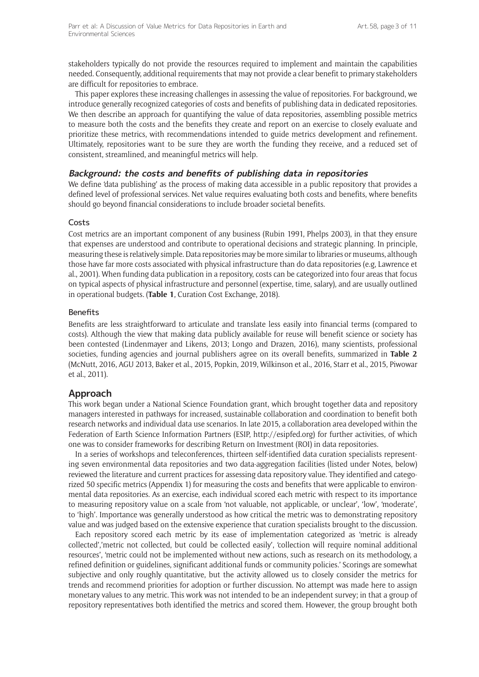stakeholders typically do not provide the resources required to implement and maintain the capabilities needed. Consequently, additional requirements that may not provide a clear benefit to primary stakeholders are difficult for repositories to embrace.

This paper explores these increasing challenges in assessing the value of repositories. For background, we introduce generally recognized categories of costs and benefits of publishing data in dedicated repositories. We then describe an approach for quantifying the value of data repositories, assembling possible metrics to measure both the costs and the benefits they create and report on an exercise to closely evaluate and prioritize these metrics, with recommendations intended to guide metrics development and refinement. Ultimately, repositories want to be sure they are worth the funding they receive, and a reduced set of consistent, streamlined, and meaningful metrics will help.

#### **Background: the costs and benefits of publishing data in repositories**

We define 'data publishing' as the process of making data accessible in a public repository that provides a defined level of professional services. Net value requires evaluating both costs and benefits, where benefits should go beyond financial considerations to include broader societal benefits.

#### Costs

Cost metrics are an important component of any business (Rubin 1991, Phelps 2003), in that they ensure that expenses are understood and contribute to operational decisions and strategic planning. In principle, measuring these is relatively simple. Data repositories may be more similar to libraries or museums, although those have far more costs associated with physical infrastructure than do data repositories (e.g, Lawrence et al., 2001). When funding data publication in a repository, costs can be categorized into four areas that focus on typical aspects of physical infrastructure and personnel (expertise, time, salary), and are usually outlined in operational budgets. (**Table 1**, Curation Cost Exchange, 2018).

#### Benefits

Benefits are less straightforward to articulate and translate less easily into financial terms (compared to costs). Although the view that making data publicly available for reuse will benefit science or society has been contested (Lindenmayer and Likens, 2013; Longo and Drazen, 2016), many scientists, professional societies, funding agencies and journal publishers agree on its overall benefits, summarized in **Table 2** (McNutt, 2016, AGU 2013, Baker et al., 2015, Popkin, 2019, Wilkinson et al., 2016, Starr et al., 2015, Piwowar et al., 2011).

## **Approach**

This work began under a National Science Foundation grant, which brought together data and repository managers interested in pathways for increased, sustainable collaboration and coordination to benefit both research networks and individual data use scenarios. In late 2015, a collaboration area developed within the Federation of Earth Science Information Partners (ESIP, http://esipfed.org) for further activities, of which one was to consider frameworks for describing Return on Investment (ROI) in data repositories.

In a series of workshops and teleconferences, thirteen self-identified data curation specialists representing seven environmental data repositories and two data-aggregation facilities (listed under Notes, below) reviewed the literature and current practices for assessing data repository value. They identified and categorized 50 specific metrics (Appendix 1) for measuring the costs and benefits that were applicable to environmental data repositories. As an exercise, each individual scored each metric with respect to its importance to measuring repository value on a scale from 'not valuable, not applicable, or unclear', 'low', 'moderate', to 'high'. Importance was generally understood as how critical the metric was to demonstrating repository value and was judged based on the extensive experience that curation specialists brought to the discussion.

Each repository scored each metric by its ease of implementation categorized as 'metric is already collected','metric not collected, but could be collected easily', 'collection will require nominal additional resources', 'metric could not be implemented without new actions, such as research on its methodology, a refined definition or guidelines, significant additional funds or community policies.' Scorings are somewhat subjective and only roughly quantitative, but the activity allowed us to closely consider the metrics for trends and recommend priorities for adoption or further discussion. No attempt was made here to assign monetary values to any metric. This work was not intended to be an independent survey; in that a group of repository representatives both identified the metrics and scored them. However, the group brought both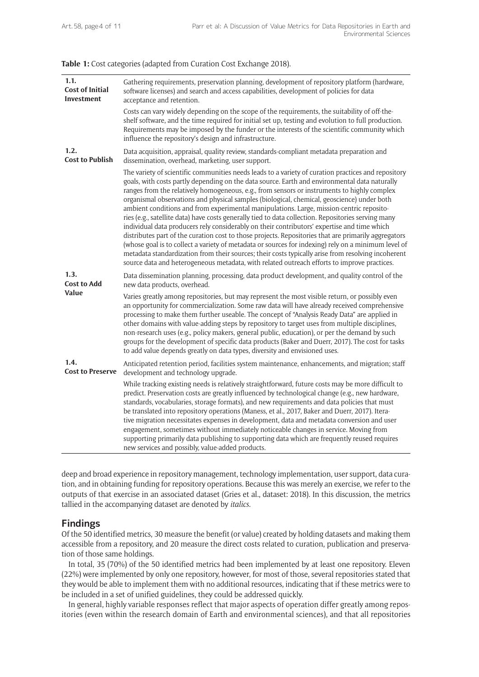**Table 1:** Cost categories (adapted from Curation Cost Exchange 2018).

| 1.1.<br><b>Cost of Initial</b><br>Investment | Gathering requirements, preservation planning, development of repository platform (hardware,<br>software licenses) and search and access capabilities, development of policies for data<br>acceptance and retention.                                                                                                                                                                                                                                                                                                                                                                                                                                                                                                                                                                                                                                                                                                                                                                                                                                                                                                    |
|----------------------------------------------|-------------------------------------------------------------------------------------------------------------------------------------------------------------------------------------------------------------------------------------------------------------------------------------------------------------------------------------------------------------------------------------------------------------------------------------------------------------------------------------------------------------------------------------------------------------------------------------------------------------------------------------------------------------------------------------------------------------------------------------------------------------------------------------------------------------------------------------------------------------------------------------------------------------------------------------------------------------------------------------------------------------------------------------------------------------------------------------------------------------------------|
|                                              | Costs can vary widely depending on the scope of the requirements, the suitability of off-the-<br>shelf software, and the time required for initial set up, testing and evolution to full production.<br>Requirements may be imposed by the funder or the interests of the scientific community which<br>influence the repository's design and infrastructure.                                                                                                                                                                                                                                                                                                                                                                                                                                                                                                                                                                                                                                                                                                                                                           |
| 1.2.<br><b>Cost to Publish</b>               | Data acquisition, appraisal, quality review, standards-compliant metadata preparation and<br>dissemination, overhead, marketing, user support.                                                                                                                                                                                                                                                                                                                                                                                                                                                                                                                                                                                                                                                                                                                                                                                                                                                                                                                                                                          |
|                                              | The variety of scientific communities needs leads to a variety of curation practices and repository<br>goals, with costs partly depending on the data source. Earth and environmental data naturally<br>ranges from the relatively homogeneous, e.g., from sensors or instruments to highly complex<br>organismal observations and physical samples (biological, chemical, geoscience) under both<br>ambient conditions and from experimental manipulations. Large, mission-centric reposito-<br>ries (e.g., satellite data) have costs generally tied to data collection. Repositories serving many<br>individual data producers rely considerably on their contributors' expertise and time which<br>distributes part of the curation cost to those projects. Repositories that are primarily aggregators<br>(whose goal is to collect a variety of metadata or sources for indexing) rely on a minimum level of<br>metadata standardization from their sources; their costs typically arise from resolving incoherent<br>source data and heterogeneous metadata, with related outreach efforts to improve practices. |
| 1.3.<br><b>Cost to Add</b><br>Value          | Data dissemination planning, processing, data product development, and quality control of the<br>new data products, overhead.                                                                                                                                                                                                                                                                                                                                                                                                                                                                                                                                                                                                                                                                                                                                                                                                                                                                                                                                                                                           |
|                                              | Varies greatly among repositories, but may represent the most visible return, or possibly even<br>an opportunity for commercialization. Some raw data will have already received comprehensive<br>processing to make them further useable. The concept of "Analysis Ready Data" are applied in<br>other domains with value-adding steps by repository to target uses from multiple disciplines,<br>non-research uses (e.g., policy makers, general public, education), or per the demand by such<br>groups for the development of specific data products (Baker and Duerr, 2017). The cost for tasks<br>to add value depends greatly on data types, diversity and envisioned uses.                                                                                                                                                                                                                                                                                                                                                                                                                                      |
| 1.4.<br><b>Cost to Preserve</b>              | Anticipated retention period, facilities system maintenance, enhancements, and migration; staff<br>development and technology upgrade.                                                                                                                                                                                                                                                                                                                                                                                                                                                                                                                                                                                                                                                                                                                                                                                                                                                                                                                                                                                  |
|                                              | While tracking existing needs is relatively straightforward, future costs may be more difficult to<br>predict. Preservation costs are greatly influenced by technological change (e.g., new hardware,<br>standards, vocabularies, storage formats), and new requirements and data policies that must<br>be translated into repository operations (Maness, et al., 2017, Baker and Duerr, 2017). Itera-<br>tive migration necessitates expenses in development, data and metadata conversion and user<br>engagement, sometimes without immediately noticeable changes in service. Moving from<br>supporting primarily data publishing to supporting data which are frequently reused requires<br>new services and possibly, value-added products.                                                                                                                                                                                                                                                                                                                                                                        |

deep and broad experience in repository management, technology implementation, user support, data curation, and in obtaining funding for repository operations. Because this was merely an exercise, we refer to the outputs of that exercise in an associated dataset (Gries et al., dataset: 2018). In this discussion, the metrics tallied in the accompanying dataset are denoted by *italics.* 

#### **Findings**

Of the 50 identified metrics, 30 measure the benefit (or value) created by holding datasets and making them accessible from a repository, and 20 measure the direct costs related to curation, publication and preservation of those same holdings.

In total, 35 (70%) of the 50 identified metrics had been implemented by at least one repository. Eleven (22%) were implemented by only one repository, however, for most of those, several repositories stated that they would be able to implement them with no additional resources, indicating that if these metrics were to be included in a set of unified guidelines, they could be addressed quickly.

In general, highly variable responses reflect that major aspects of operation differ greatly among repositories (even within the research domain of Earth and environmental sciences), and that all repositories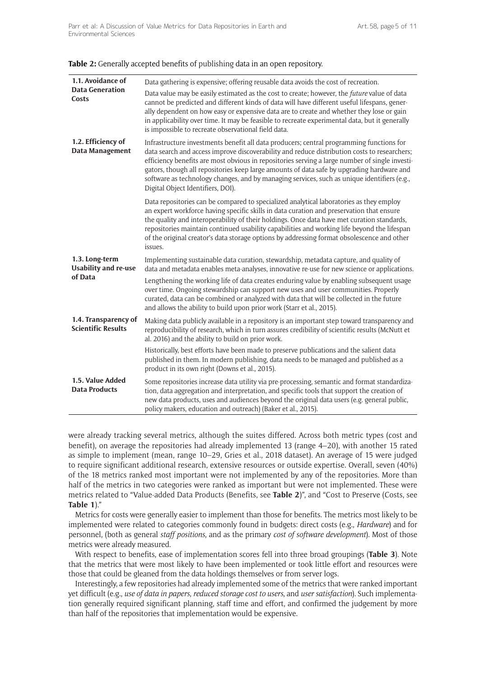| <b>Table 2:</b> Generally accepted benefits of publishing data in an open repository. |  |  |
|---------------------------------------------------------------------------------------|--|--|
|---------------------------------------------------------------------------------------|--|--|

| 1.1. Avoidance of<br><b>Data Generation</b><br>Costs     | Data gathering is expensive; offering reusable data avoids the cost of recreation.<br>Data value may be easily estimated as the cost to create; however, the future value of data<br>cannot be predicted and different kinds of data will have different useful lifespans, gener-<br>ally dependent on how easy or expensive data are to create and whether they lose or gain<br>in applicability over time. It may be feasible to recreate experimental data, but it generally<br>is impossible to recreate observational field data.      |
|----------------------------------------------------------|---------------------------------------------------------------------------------------------------------------------------------------------------------------------------------------------------------------------------------------------------------------------------------------------------------------------------------------------------------------------------------------------------------------------------------------------------------------------------------------------------------------------------------------------|
| 1.2. Efficiency of<br>Data Management                    | Infrastructure investments benefit all data producers; central programming functions for<br>data search and access improve discoverability and reduce distribution costs to researchers;<br>efficiency benefits are most obvious in repositories serving a large number of single investi-<br>gators, though all repositories keep large amounts of data safe by upgrading hardware and<br>software as technology changes, and by managing services, such as unique identifiers (e.g.,<br>Digital Object Identifiers, DOI).                 |
|                                                          | Data repositories can be compared to specialized analytical laboratories as they employ<br>an expert workforce having specific skills in data curation and preservation that ensure<br>the quality and interoperability of their holdings. Once data have met curation standards,<br>repositories maintain continued usability capabilities and working life beyond the lifespan<br>of the original creator's data storage options by addressing format obsolescence and other<br>issues.                                                   |
| 1.3. Long-term<br><b>Usability and re-use</b><br>of Data | Implementing sustainable data curation, stewardship, metadata capture, and quality of<br>data and metadata enables meta-analyses, innovative re-use for new science or applications.<br>Lengthening the working life of data creates enduring value by enabling subsequent usage<br>over time. Ongoing stewardship can support new uses and user communities. Properly<br>curated, data can be combined or analyzed with data that will be collected in the future<br>and allows the ability to build upon prior work (Starr et al., 2015). |
| 1.4. Transparency of<br><b>Scientific Results</b>        | Making data publicly available in a repository is an important step toward transparency and<br>reproducibility of research, which in turn assures credibility of scientific results (McNutt et<br>al. 2016) and the ability to build on prior work.                                                                                                                                                                                                                                                                                         |
|                                                          | Historically, best efforts have been made to preserve publications and the salient data<br>published in them. In modern publishing, data needs to be managed and published as a<br>product in its own right (Downs et al., 2015).                                                                                                                                                                                                                                                                                                           |
| 1.5. Value Added<br><b>Data Products</b>                 | Some repositories increase data utility via pre-processing, semantic and format standardiza-<br>tion, data aggregation and interpretation, and specific tools that support the creation of<br>new data products, uses and audiences beyond the original data users (e.g. general public,<br>policy makers, education and outreach) (Baker et al., 2015).                                                                                                                                                                                    |

were already tracking several metrics, although the suites differed. Across both metric types (cost and benefit), on average the repositories had already implemented 13 (range 4–20), with another 15 rated as simple to implement (mean, range 10–29, Gries et al., 2018 dataset). An average of 15 were judged to require significant additional research, extensive resources or outside expertise. Overall, seven (40%) of the 18 metrics ranked most important were not implemented by any of the repositories. More than half of the metrics in two categories were ranked as important but were not implemented. These were metrics related to "Value-added Data Products (Benefits, see **Table 2**)", and "Cost to Preserve (Costs, see **Table 1**)."

Metrics for costs were generally easier to implement than those for benefits. The metrics most likely to be implemented were related to categories commonly found in budgets: direct costs (e.g., *Hardware*) and for personnel, (both as general *staff positions*, and as the primary *cost of software development*). Most of those metrics were already measured.

With respect to benefits, ease of implementation scores fell into three broad groupings (**Table 3**). Note that the metrics that were most likely to have been implemented or took little effort and resources were those that could be gleaned from the data holdings themselves or from server logs.

Interestingly, a few repositories had already implemented some of the metrics that were ranked important yet difficult (e.g., *use of data in papers*, *reduced storage cost to users*, and *user satisfaction*). Such implementation generally required significant planning, staff time and effort, and confirmed the judgement by more than half of the repositories that implementation would be expensive.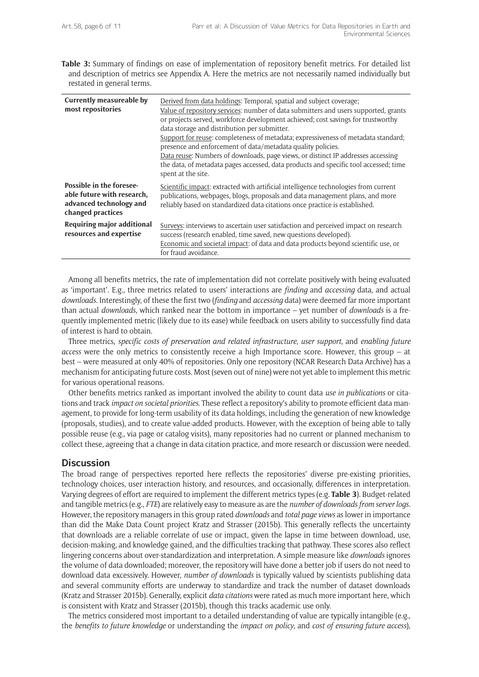**Table 3:** Summary of findings on ease of implementation of repository benefit metrics. For detailed list and description of metrics see Appendix A. Here the metrics are not necessarily named individually but restated in general terms.

| <b>Currently measureable by</b><br>most repositories                                                          | Derived from data holdings: Temporal, spatial and subject coverage;<br>Value of repository services: number of data submitters and users supported, grants<br>or projects served, workforce development achieved; cost savings for trustworthy<br>data storage and distribution per submitter.<br>Support for reuse: completeness of metadata; expressiveness of metadata standard;<br>presence and enforcement of data/metadata quality policies.<br>Data reuse: Numbers of downloads, page views, or distinct IP addresses accessing<br>the data, of metadata pages accessed, data products and specific tool accessed; time<br>spent at the site. |
|---------------------------------------------------------------------------------------------------------------|------------------------------------------------------------------------------------------------------------------------------------------------------------------------------------------------------------------------------------------------------------------------------------------------------------------------------------------------------------------------------------------------------------------------------------------------------------------------------------------------------------------------------------------------------------------------------------------------------------------------------------------------------|
| <b>Possible in the foresee-</b><br>able future with research,<br>advanced technology and<br>changed practices | Scientific impact: extracted with artificial intelligence technologies from current<br>publications, webpages, blogs, proposals and data management plans, and more<br>reliably based on standardized data citations once practice is established.                                                                                                                                                                                                                                                                                                                                                                                                   |
| Requiring major additional<br>resources and expertise                                                         | Surveys: interviews to ascertain user satisfaction and perceived impact on research<br>success (research enabled, time saved, new questions developed).<br>Economic and societal impact: of data and data products beyond scientific use, or<br>for fraud avoidance.                                                                                                                                                                                                                                                                                                                                                                                 |

Among all benefits metrics, the rate of implementation did not correlate positively with being evaluated as 'important'. E.g., three metrics related to users' interactions are *finding* and *accessing* data, and actual *downloads*. Interestingly, of these the first two (*finding* and *accessing* data) were deemed far more important than actual *downloads*, which ranked near the bottom in importance – yet number of *downloads* is a frequently implemented metric (likely due to its ease) while feedback on users ability to successfully find data of interest is hard to obtain.

Three metrics, *specific costs of preservation and related infrastructure*, *user support*, and *enabling future access* were the only metrics to consistently receive a high Importance score. However, this group – at best – were measured at only 40% of repositories. Only one repository (NCAR Research Data Archive) has a mechanism for anticipating future costs. Most (seven out of nine) were not yet able to implement this metric for various operational reasons.

Other benefits metrics ranked as important involved the ability to count data *use in publications* or citations and track *impact on societal priorities*. These reflect a repository's ability to promote efficient data management, to provide for long-term usability of its data holdings, including the generation of new knowledge (proposals, studies), and to create value-added products. However, with the exception of being able to tally possible reuse (e.g., via page or catalog visits), many repositories had no current or planned mechanism to collect these, agreeing that a change in data citation practice, and more research or discussion were needed.

#### **Discussion**

The broad range of perspectives reported here reflects the repositories' diverse pre-existing priorities, technology choices, user interaction history, and resources, and occasionally, differences in interpretation. Varying degrees of effort are required to implement the different metrics types (e.g. **Table 3**). Budget-related and tangible metrics (e.g., *FTE*) are relatively easy to measure as are the *number of downloads from server logs.* However, the repository managers in this group rated *downloads* and *total page views* as lower in importance than did the Make Data Count project Kratz and Strasser (2015b). This generally reflects the uncertainty that downloads are a reliable correlate of use or impact, given the lapse in time between download, use, decision-making, and knowledge gained, and the difficulties tracking that pathway. These scores also reflect lingering concerns about over-standardization and interpretation. A simple measure like *downloads* ignores the volume of data downloaded; moreover, the repository will have done a better job if users do not need to download data excessively. However, *number of downloads* is typically valued by scientists publishing data and several community efforts are underway to standardize and track the number of dataset downloads (Kratz and Strasser 2015b). Generally, explicit *data citations* were rated as much more important here, which is consistent with Kratz and Strasser (2015b), though this tracks academic use only.

The metrics considered most important to a detailed understanding of value are typically intangible (e.g., the *benefits to future knowledge* or understanding the *impact on policy*, and *cost of ensuring future access*),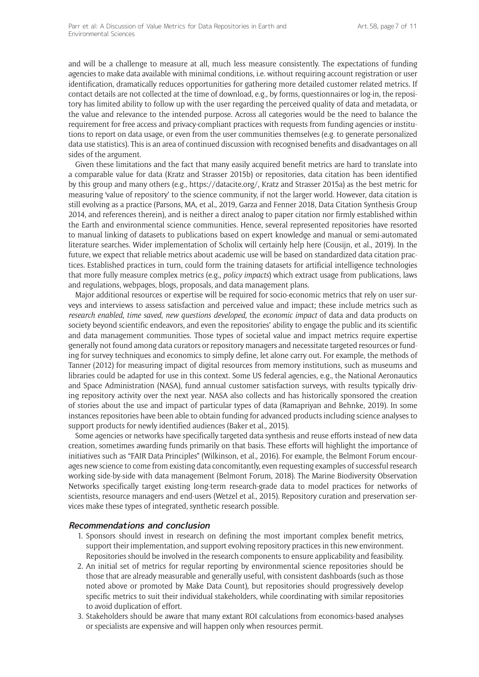and will be a challenge to measure at all, much less measure consistently. The expectations of funding agencies to make data available with minimal conditions, i.e. without requiring account registration or user identification, dramatically reduces opportunities for gathering more detailed customer related metrics. If contact details are not collected at the time of download, e.g., by forms, questionnaires or log-in, the repository has limited ability to follow up with the user regarding the perceived quality of data and metadata, or the value and relevance to the intended purpose. Across all categories would be the need to balance the requirement for free access and privacy-compliant practices with requests from funding agencies or institutions to report on data usage, or even from the user communities themselves (e.g. to generate personalized data use statistics). This is an area of continued discussion with recognised benefits and disadvantages on all sides of the argument.

Given these limitations and the fact that many easily acquired benefit metrics are hard to translate into a comparable value for data (Kratz and Strasser 2015b) or repositories, data citation has been identified by this group and many others (e.g., https://datacite.org/, Kratz and Strasser 2015a) as the best metric for measuring 'value of repository' to the science community, if not the larger world. However, data citation is still evolving as a practice (Parsons, MA, et al., 2019, Garza and Fenner 2018, Data Citation Synthesis Group 2014, and references therein), and is neither a direct analog to paper citation nor firmly established within the Earth and environmental science communities. Hence, several represented repositories have resorted to manual linking of datasets to publications based on expert knowledge and manual or semi-automated literature searches. Wider implementation of Scholix will certainly help here (Cousijn, et al., 2019). In the future, we expect that reliable metrics about academic use will be based on standardized data citation practices. Established practices in turn, could form the training datasets for artificial intelligence technologies that more fully measure complex metrics (e.g., *policy impacts*) which extract usage from publications, laws and regulations, webpages, blogs, proposals, and data management plans.

Major additional resources or expertise will be required for socio-economic metrics that rely on user surveys and interviews to assess satisfaction and perceived value and impact; these include metrics such as *research enabled*, *time saved*, *new questions developed*, the *economic impact* of data and data products on society beyond scientific endeavors, and even the repositories' ability to engage the public and its scientific and data management communities. Those types of societal value and impact metrics require expertise generally not found among data curators or repository managers and necessitate targeted resources or funding for survey techniques and economics to simply define, let alone carry out. For example, the methods of Tanner (2012) for measuring impact of digital resources from memory institutions, such as museums and libraries could be adapted for use in this context. Some US federal agencies, e.g., the National Aeronautics and Space Administration (NASA), fund annual customer satisfaction surveys, with results typically driving repository activity over the next year. NASA also collects and has historically sponsored the creation of stories about the use and impact of particular types of data (Ramapriyan and Behnke, 2019). In some instances repositories have been able to obtain funding for advanced products including science analyses to support products for newly identified audiences (Baker et al., 2015).

Some agencies or networks have specifically targeted data synthesis and reuse efforts instead of new data creation, sometimes awarding funds primarily on that basis. These efforts will highlight the importance of initiatives such as "FAIR Data Principles" (Wilkinson, et al., 2016). For example, the Belmont Forum encourages new science to come from existing data concomitantly, even requesting examples of successful research working side-by-side with data management (Belmont Forum, 2018). The Marine Biodiversity Observation Networks specifically target existing long-term research-grade data to model practices for networks of scientists, resource managers and end-users (Wetzel et al., 2015). Repository curation and preservation services make these types of integrated, synthetic research possible.

#### **Recommendations and conclusion**

- 1. Sponsors should invest in research on defining the most important complex benefit metrics, support their implementation, and support evolving repository practices in this new environment. Repositories should be involved in the research components to ensure applicability and feasibility.
- 2. An initial set of metrics for regular reporting by environmental science repositories should be those that are already measurable and generally useful, with consistent dashboards (such as those noted above or promoted by Make Data Count), but repositories should progressively develop specific metrics to suit their individual stakeholders, while coordinating with similar repositories to avoid duplication of effort.
- 3. Stakeholders should be aware that many extant ROI calculations from economics-based analyses or specialists are expensive and will happen only when resources permit.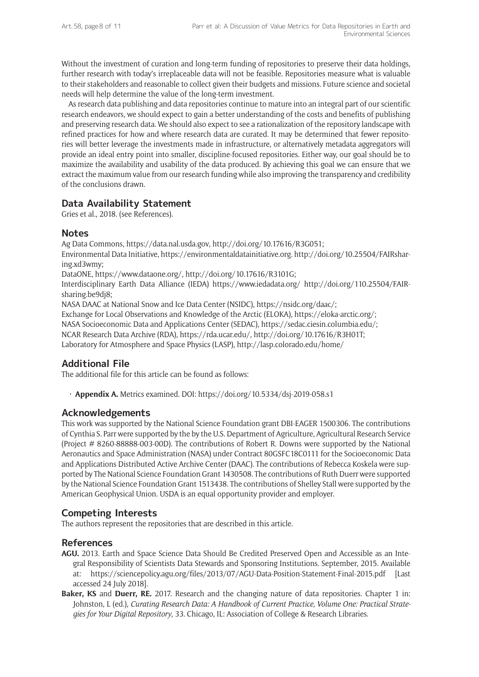Without the investment of curation and long-term funding of repositories to preserve their data holdings, further research with today's irreplaceable data will not be feasible. Repositories measure what is valuable to their stakeholders and reasonable to collect given their budgets and missions. Future science and societal needs will help determine the value of the long-term investment.

As research data publishing and data repositories continue to mature into an integral part of our scientific research endeavors, we should expect to gain a better understanding of the costs and benefits of publishing and preserving research data. We should also expect to see a rationalization of the repository landscape with refined practices for how and where research data are curated. It may be determined that fewer repositories will better leverage the investments made in infrastructure, or alternatively metadata aggregators will provide an ideal entry point into smaller, discipline-focused repositories. Either way, our goal should be to maximize the availability and usability of the data produced. By achieving this goal we can ensure that we extract the maximum value from our research funding while also improving the transparency and credibility of the conclusions drawn.

# **Data Availability Statement**

Gries et al., 2018. (see References).

## **Notes**

Ag Data Commons, https://data.nal.usda.gov, http://doi.org/10.17616/R3G051;

Environmental Data Initiative, https://environmentaldatainitiative.org. http://doi.org/10.25504/FAIRsharing.xd3wmy;

DataONE, https://www.dataone.org/, http://doi.org/10.17616/R3101G;

Interdisciplinary Earth Data Alliance (IEDA) https://www.iedadata.org/ http://doi.org/110.25504/FAIRsharing.be9dj8;

NASA DAAC at National Snow and Ice Data Center (NSIDC), https://nsidc.org/daac/;

Exchange for Local Observations and Knowledge of the Arctic (ELOKA), https://eloka-arctic.org/;

NASA Socioeconomic Data and Applications Center (SEDAC), https://sedac.ciesin.columbia.edu/;

NCAR Research Data Archive (RDA), https://rda.ucar.edu/, http://doi.org/10.17616/R3H01T;

Laboratory for Atmosphere and Space Physics (LASP), http://lasp.colorado.edu/home/

# **Additional File**

The additional file for this article can be found as follows:

• **Appendix A.** Metrics examined. DOI: https://doi.org/10.5334/dsj-2019-058.s1

# **Acknowledgements**

This work was supported by the National Science Foundation grant DBI-EAGER 1500306. The contributions of Cynthia S. Parr were supported by the by the U.S. Department of Agriculture, Agricultural Research Service (Project # 8260-88888-003-00D). The contributions of Robert R. Downs were supported by the National Aeronautics and Space Administration (NASA) under Contract 80GSFC18C0111 for the Socioeconomic Data and Applications Distributed Active Archive Center (DAAC). The contributions of Rebecca Koskela were supported by The National Science Foundation Grant 1430508. The contributions of Ruth Duerr were supported by the National Science Foundation Grant 1513438. The contributions of Shelley Stall were supported by the American Geophysical Union. USDA is an equal opportunity provider and employer.

# **Competing Interests**

The authors represent the repositories that are described in this article.

## **References**

- **AGU.** 2013. Earth and Space Science Data Should Be Credited Preserved Open and Accessible as an Integral Responsibility of Scientists Data Stewards and Sponsoring Institutions. September, 2015. Available at: https://sciencepolicy.agu.org/files/2013/07/AGU-Data-Position-Statement-Final-2015.pdf [Last accessed 24 July 2018].
- **Baker, KS** and **Duerr, RE.** 2017. Research and the changing nature of data repositories. Chapter 1 in: Johnston, L (ed.), *Curating Research Data: A Handbook of Current Practice, Volume One: Practical Strategies for Your Digital Repository*, 33. Chicago, IL: Association of College & Research Libraries.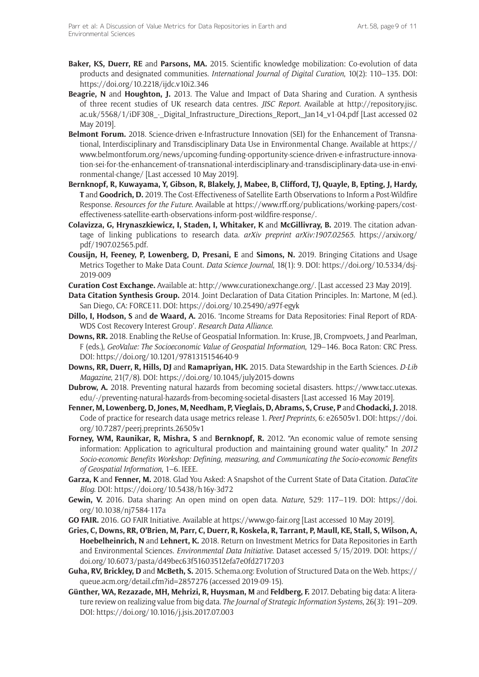- **Baker, KS, Duerr, RE** and **Parsons, MA.** 2015. Scientific knowledge mobilization: Co-evolution of data products and designated communities. *International Journal of Digital Curation*, 10(2): 110–135. DOI: https://doi.org/10.2218/ijdc.v10i2.346
- **Beagrie, N** and **Houghton, J.** 2013. The Value and Impact of Data Sharing and Curation. A synthesis of three recent studies of UK research data centres. *JISC Report*. Available at http://repository.jisc. ac.uk/5568/1/iDF308\_-\_Digital\_Infrastructure\_Directions\_Report,\_Jan14\_v1-04.pdf [Last accessed 02 May 2019].
- **Belmont Forum.** 2018. Science-driven e-Infrastructure Innovation (SEI) for the Enhancement of Transnational, Interdisciplinary and Transdisciplinary Data Use in Environmental Change. Available at https:// www.belmontforum.org/news/upcoming-funding-opportunity-science-driven-e-infrastructure-innovation-sei-for-the-enhancement-of-transnational-interdisciplinary-and-transdisciplinary-data-use-in-environmental-change/ [Last accessed 10 May 2019].
- **Bernknopf, R, Kuwayama, Y, Gibson, R, Blakely, J, Mabee, B, Clifford, TJ, Quayle, B, Epting, J, Hardy, T** and **Goodrich, D.** 2019. The Cost-Effectiveness of Satellite Earth Observations to Inform a Post-Wildfire Response. *Resources for the Future*. Available at https://www.rff.org/publications/working-papers/costeffectiveness-satellite-earth-observations-inform-post-wildfire-response/.
- **Colavizza, G, Hrynaszkiewicz, I, Staden, I, Whitaker, K** and **McGillivray, B.** 2019. The citation advantage of linking publications to research data. *arXiv preprint arXiv:1907.02565*. https://arxiv.org/ pdf/1907.02565.pdf.
- **Cousijn, H, Feeney, P, Lowenberg, D, Presani, E** and **Simons, N.** 2019. Bringing Citations and Usage Metrics Together to Make Data Count. *Data Science Journal*, 18(1): 9. DOI: https://doi.org/10.5334/dsj-2019-009
- **Curation Cost Exchange.** Available at: http://www.curationexchange.org/. [Last accessed 23 May 2019].
- **Data Citation Synthesis Group.** 2014. Joint Declaration of Data Citation Principles. In: Martone, M (ed.). San Diego, CA: FORCE11. DOI: https://doi.org/10.25490/a97f-egyk
- **Dillo, I, Hodson, S** and **de Waard, A.** 2016. 'Income Streams for Data Repositories: Final Report of RDA-WDS Cost Recovery Interest Group'. *Research Data Alliance*.
- **Downs, RR.** 2018. Enabling the ReUse of Geospatial Information. In: Kruse, JB, Crompvoets, J and Pearlman, F (eds.), *GeoValue: The Socioeconomic Value of Geospatial Information*, 129–146. Boca Raton: CRC Press. DOI: https://doi.org/10.1201/9781315154640-9
- **Downs, RR, Duerr, R, Hills, DJ** and **Ramapriyan, HK.** 2015. Data Stewardship in the Earth Sciences. *D-Lib Magazine*, 21(7/8). DOI: https://doi.org/10.1045/july2015-downs
- **Dubrow, A.** 2018. Preventing natural hazards from becoming societal disasters. https://www.tacc.utexas. edu/-/preventing-natural-hazards-from-becoming-societal-disasters [Last accessed 16 May 2019].
- **Fenner, M, Lowenberg, D, Jones, M, Needham, P, Vieglais, D, Abrams, S, Cruse, P** and **Chodacki, J.** 2018. Code of practice for research data usage metrics release 1. *PeerJ Preprints*, 6: e26505v1. DOI: https://doi. org/10.7287/peerj.preprints.26505v1
- **Forney, WM, Raunikar, R, Mishra, S** and **Bernknopf, R.** 2012. "An economic value of remote sensing information: Application to agricultural production and maintaining ground water quality." In *2012 Socio-economic Benefits Workshop: Defining, measuring, and Communicating the Socio-economic Benefits of Geospatial Information*, 1–6. IEEE.
- **Garza, K** and **Fenner, M.** 2018. Glad You Asked: A Snapshot of the Current State of Data Citation. *DataCite Blog*. DOI: https://doi.org/10.5438/h16y-3d72
- **Gewin, V.** 2016. Data sharing: An open mind on open data. *Nature*, 529: 117–119. DOI: https://doi. org/10.1038/nj7584-117a
- **GO FAIR.** 2016. GO FAIR Initiative. Available at https://www.go-fair.org [Last accessed 10 May 2019].
- **Gries, C, Downs, RR, O'Brien, M, Parr, C, Duerr, R, Koskela, R, Tarrant, P, Maull, KE, Stall, S, Wilson, A, Hoebelheinrich, N** and **Lehnert, K.** 2018. Return on Investment Metrics for Data Repositories in Earth and Environmental Sciences. *Environmental Data Initiative*. Dataset accessed 5/15/2019. DOI: https:// doi.org/10.6073/pasta/d49bec63f51603512efa7e0fd2717203
- **Guha, RV, Brickley, D** and **McBeth, S.** 2015. Schema.org: Evolution of Structured Data on the Web. https:// queue.acm.org/detail.cfm?id=2857276 (accessed 2019-09-15).
- **Günther, WA, Rezazade, MH, Mehrizi, R, Huysman, M** and **Feldberg, F.** 2017. Debating big data: A literature review on realizing value from big data. *The Journal of Strategic Information Systems*, 26(3): 191–209. DOI: https://doi.org/10.1016/j.jsis.2017.07.003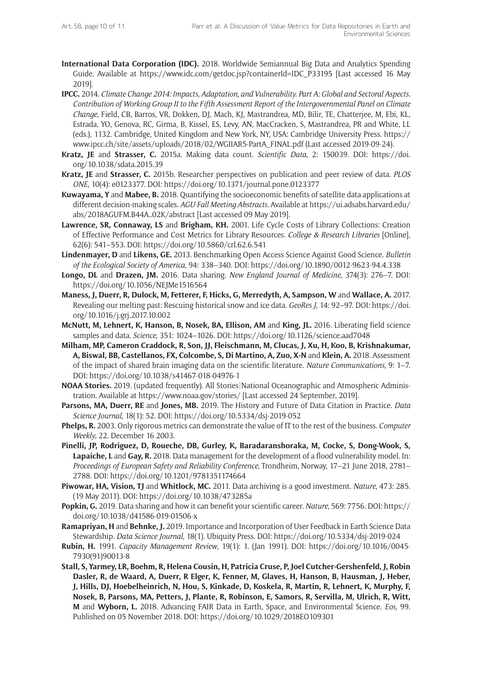- **International Data Corporation (IDC).** 2018. Worldwide Semiannual Big Data and Analytics Spending Guide. Available at https://www.idc.com/getdoc.jsp?containerId=IDC\_P33195 [Last accessed 16 May 2019].
- **IPCC.** 2014. *Climate Change 2014: Impacts, Adaptation, and Vulnerability. Part A: Global and Sectoral Aspects. Contribution of Working Group II to the Fifth Assessment Report of the Intergovernmental Panel on Climate Change*, Field, CB, Barros, VR, Dokken, DJ, Mach, KJ, Mastrandrea, MD, Bilir, TE, Chatterjee, M, Ebi, KL, Estrada, YO, Genova, RC, Girma, B, Kissel, ES, Levy, AN, MacCracken, S, Mastrandrea, PR and White, LL (eds.), 1132. Cambridge, United Kingdom and New York, NY, USA: Cambridge University Press. https:// www.ipcc.ch/site/assets/uploads/2018/02/WGIIAR5-PartA\_FINAL.pdf (Last accessed 2019-09-24).
- **Kratz, JE** and **Strasser, C.** 2015a. Making data count. *Scientific Data*, 2: 150039. DOI: https://doi. org/10.1038/sdata.2015.39
- **Kratz, JE** and **Strasser, C.** 2015b. Researcher perspectives on publication and peer review of data. *PLOS ONE*, 10(4): e0123377. DOI: https://doi.org/10.1371/journal.pone.0123377
- **Kuwayama, Y** and **Mabee, B.** 2018. Quantifying the socioeconomic benefits of satellite data applications at different decision-making scales. *AGU Fall Meeting Abstracts*. Available at https://ui.adsabs.harvard.edu/ abs/2018AGUFM.B44A..02K/abstract [Last accessed 09 May 2019].
- **Lawrence, SR, Connaway, LS** and **Brigham, KH.** 2001. Life Cycle Costs of Library Collections: Creation of Effective Performance and Cost Metrics for Library Resources. *College & Research Libraries* [Online], 62(6): 541–553. DOI: https://doi.org/10.5860/crl.62.6.541
- **Lindenmayer, D** and **Likens, GE.** 2013. Benchmarking Open Access Science Against Good Science. *Bulletin of the Ecological Society of America*, 94: 338–340. DOI: https://doi.org/10.1890/0012-9623-94.4.338
- **Longo, DL** and **Drazen, JM.** 2016. Data sharing. *New England Journal of Medicine*, 374(3): 276–7. DOI: https://doi.org/10.1056/NEJMe1516564
- **Maness, J, Duerr, R, Dulock, M, Fetterer, F, Hicks, G, Merredyth, A, Sampson, W** and **Wallace, A.** 2017. Revealing our melting past: Rescuing historical snow and ice data. *GeoRes J*, 14: 92–97. DOI: https://doi. org/10.1016/j.grj.2017.10.002
- **McNutt, M, Lehnert, K, Hanson, B, Nosek, BA, Ellison, AM** and **King, JL.** 2016. Liberating field science samples and data. *Science*, 351: 1024–1026. DOI: https://doi.org/10.1126/science.aad7048
- **Milham, MP, Cameron Craddock, R, Son, JJ, Fleischmann, M, Clucas, J, Xu, H, Koo, B, Krishnakumar, A, Biswal, BB, Castellanos, FX, Colcombe, S, Di Martino, A, Zuo, X-N** and **Klein, A.** 2018. Assessment of the impact of shared brain imaging data on the scientific literature. *Nature Communications*, 9: 1–7. DOI: https://doi.org/10.1038/s41467-018-04976-1
- **NOAA Stories.** 2019. (updated frequently). All Stories|National Oceanographic and Atmospheric Administration. Available at https://www.noaa.gov/stories/ [Last accessed 24 September, 2019].
- **Parsons, MA, Duerr, RE** and **Jones, MB.** 2019. The History and Future of Data Citation in Practice. *Data Science Journal*, 18(1): 52. DOI: https://doi.org/10.5334/dsj-2019-052
- **Phelps, R.** 2003. Only rigorous metrics can demonstrate the value of IT to the rest of the business. *Computer Weekly*, 22. December 16 2003.
- **Pinelli, JP, Rodriguez, D, Roueche, DB, Gurley, K, Baradaranshoraka, M, Cocke, S, Dong-Wook, S, Lapaiche, L** and **Gay, R.** 2018. Data management for the development of a flood vulnerability model. In: *Proceedings of European Safety and Reliability Conference*, Trondheim, Norway, 17–21 June 2018, 2781– 2788. DOI: https://doi.org/10.1201/9781351174664
- **Piwowar, HA, Vision, TJ** and **Whitlock, MC.** 2011. Data archiving is a good investment. *Nature*, 473: 285. (19 May 2011). DOI: https://doi.org/10.1038/473285a
- **Popkin, G.** 2019. Data sharing and how it can benefit your scientific career. *Nature*, 569: 7756. DOI: https:// doi.org/10.1038/d41586-019-01506-x
- **Ramapriyan, H** and **Behnke, J.** 2019. Importance and Incorporation of User Feedback in Earth Science Data Stewardship. *Data Science Journal*, 18(1). Ubiquity Press. DOI: https://doi.org/10.5334/dsj-2019-024
- **Rubin, H.** 1991. *Capacity Management Review*, 19(1): 1. (Jan 1991). DOI: https://doi.org/10.1016/0045- 7930(91)90013-8
- **Stall, S, Yarmey, LR, Boehm, R, Helena Cousin, H, Patricia Cruse, P, Joel Cutcher-Gershenfeld, J, Robin Dasler, R, de Waard, A, Duerr, R Elger, K, Fenner, M, Glaves, H, Hanson, B, Hausman, J, Heber, J, Hills, DJ, Hoebelheinrich, N, Hou, S, Kinkade, D, Koskela, R, Martin, R, Lehnert, K, Murphy, F, Nosek, B, Parsons, MA, Petters, J, Plante, R, Robinson, E, Samors, R, Servilla, M, Ulrich, R, Witt, M** and **Wyborn, L.** 2018. Advancing FAIR Data in Earth, Space, and Environmental Science. *Eos*, 99. Published on 05 November 2018. DOI: https://doi.org/10.1029/2018EO109301